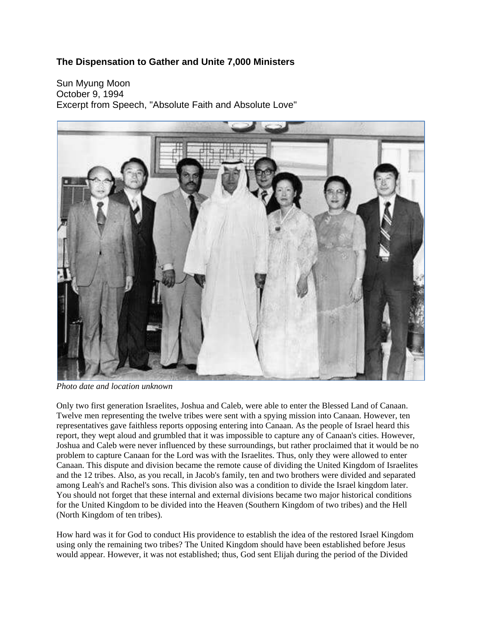## **The Dispensation to Gather and Unite 7,000 Ministers**

Sun Myung Moon October 9, 1994 Excerpt from Speech, "Absolute Faith and Absolute Love"



*Photo date and location unknown*

Only two first generation Israelites, Joshua and Caleb, were able to enter the Blessed Land of Canaan. Twelve men representing the twelve tribes were sent with a spying mission into Canaan. However, ten representatives gave faithless reports opposing entering into Canaan. As the people of Israel heard this report, they wept aloud and grumbled that it was impossible to capture any of Canaan's cities. However, Joshua and Caleb were never influenced by these surroundings, but rather proclaimed that it would be no problem to capture Canaan for the Lord was with the Israelites. Thus, only they were allowed to enter Canaan. This dispute and division became the remote cause of dividing the United Kingdom of Israelites and the 12 tribes. Also, as you recall, in Jacob's family, ten and two brothers were divided and separated among Leah's and Rachel's sons. This division also was a condition to divide the Israel kingdom later. You should not forget that these internal and external divisions became two major historical conditions for the United Kingdom to be divided into the Heaven (Southern Kingdom of two tribes) and the Hell (North Kingdom of ten tribes).

How hard was it for God to conduct His providence to establish the idea of the restored Israel Kingdom using only the remaining two tribes? The United Kingdom should have been established before Jesus would appear. However, it was not established; thus, God sent Elijah during the period of the Divided